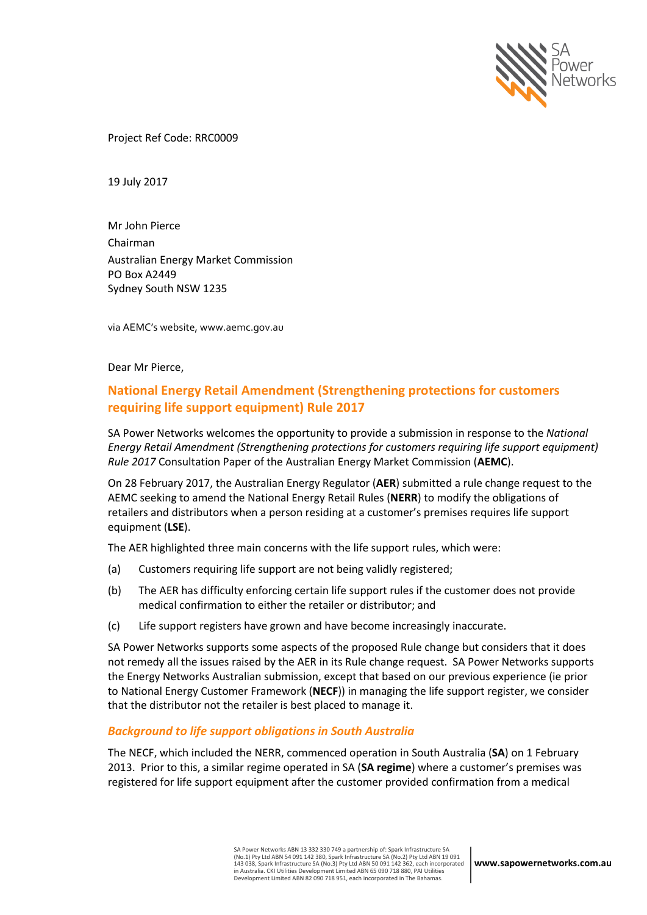

Project Ref Code: RRC0009

19 July 2017

Mr John Pierce Chairman Australian Energy Market Commission PO Box A2449 Sydney South NSW 1235

via AEMC's website, www.aemc.gov.au

Dear Mr Pierce,

# **National Energy Retail Amendment (Strengthening protections for customers requiring life support equipment) Rule 2017**

SA Power Networks welcomes the opportunity to provide a submission in response to the *National Energy Retail Amendment (Strengthening protections for customers requiring life support equipment) Rule 2017* Consultation Paper of the Australian Energy Market Commission (**AEMC**).

On 28 February 2017, the Australian Energy Regulator (**AER**) submitted a rule change request to the AEMC seeking to amend the National Energy Retail Rules (**NERR**) to modify the obligations of retailers and distributors when a person residing at a customer's premises requires life support equipment (**LSE**).

The AER highlighted three main concerns with the life support rules, which were:

- (a) Customers requiring life support are not being validly registered;
- (b) The AER has difficulty enforcing certain life support rules if the customer does not provide medical confirmation to either the retailer or distributor; and
- (c) Life support registers have grown and have become increasingly inaccurate.

SA Power Networks supports some aspects of the proposed Rule change but considers that it does not remedy all the issues raised by the AER in its Rule change request. SA Power Networks supports the Energy Networks Australian submission, except that based on our previous experience (ie prior to National Energy Customer Framework (**NECF**)) in managing the life support register, we consider that the distributor not the retailer is best placed to manage it.

### *Background to life support obligations in South Australia*

The NECF, which included the NERR, commenced operation in South Australia (**SA**) on 1 February 2013. Prior to this, a similar regime operated in SA (**SA regime**) where a customer's premises was registered for life support equipment after the customer provided confirmation from a medical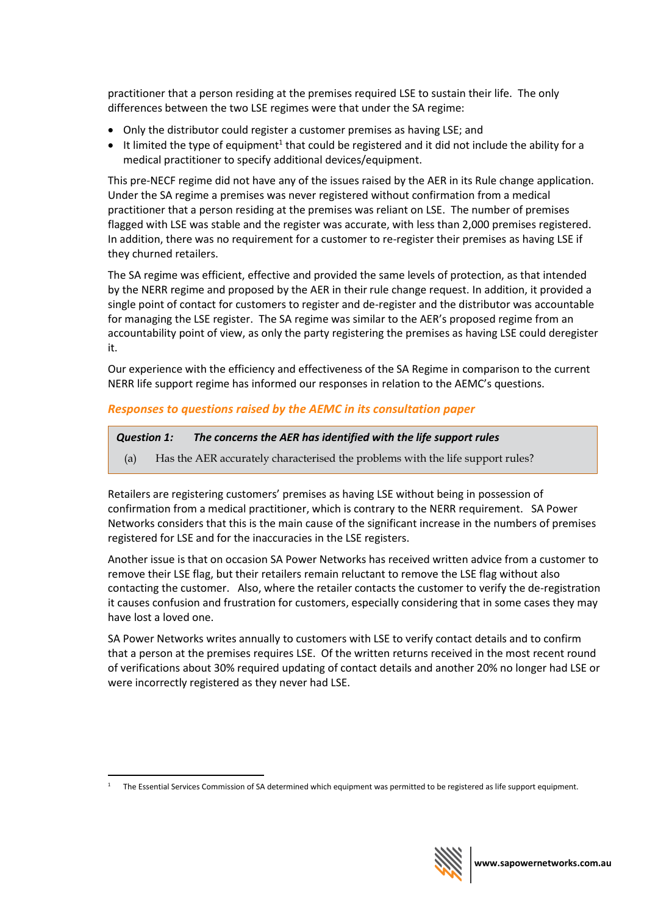practitioner that a person residing at the premises required LSE to sustain their life. The only differences between the two LSE regimes were that under the SA regime:

- Only the distributor could register a customer premises as having LSE; and
- $\bullet$  It limited the type of equipment<sup>1</sup> that could be registered and it did not include the ability for a medical practitioner to specify additional devices/equipment.

This pre-NECF regime did not have any of the issues raised by the AER in its Rule change application. Under the SA regime a premises was never registered without confirmation from a medical practitioner that a person residing at the premises was reliant on LSE. The number of premises flagged with LSE was stable and the register was accurate, with less than 2,000 premises registered. In addition, there was no requirement for a customer to re-register their premises as having LSE if they churned retailers.

The SA regime was efficient, effective and provided the same levels of protection, as that intended by the NERR regime and proposed by the AER in their rule change request. In addition, it provided a single point of contact for customers to register and de-register and the distributor was accountable for managing the LSE register. The SA regime was similar to the AER's proposed regime from an accountability point of view, as only the party registering the premises as having LSE could deregister it.

Our experience with the efficiency and effectiveness of the SA Regime in comparison to the current NERR life support regime has informed our responses in relation to the AEMC's questions.

## *Responses to questions raised by the AEMC in its consultation paper*

```
Question 1: The concerns the AER has identified with the life support rules
```
(a) Has the AER accurately characterised the problems with the life support rules?

Retailers are registering customers' premises as having LSE without being in possession of confirmation from a medical practitioner, which is contrary to the NERR requirement. SA Power Networks considers that this is the main cause of the significant increase in the numbers of premises registered for LSE and for the inaccuracies in the LSE registers.

Another issue is that on occasion SA Power Networks has received written advice from a customer to remove their LSE flag, but their retailers remain reluctant to remove the LSE flag without also contacting the customer. Also, where the retailer contacts the customer to verify the de-registration it causes confusion and frustration for customers, especially considering that in some cases they may have lost a loved one.

SA Power Networks writes annually to customers with LSE to verify contact details and to confirm that a person at the premises requires LSE. Of the written returns received in the most recent round of verifications about 30% required updating of contact details and another 20% no longer had LSE or were incorrectly registered as they never had LSE.

 $\overline{a}$ 



<sup>1</sup> The Essential Services Commission of SA determined which equipment was permitted to be registered as life support equipment.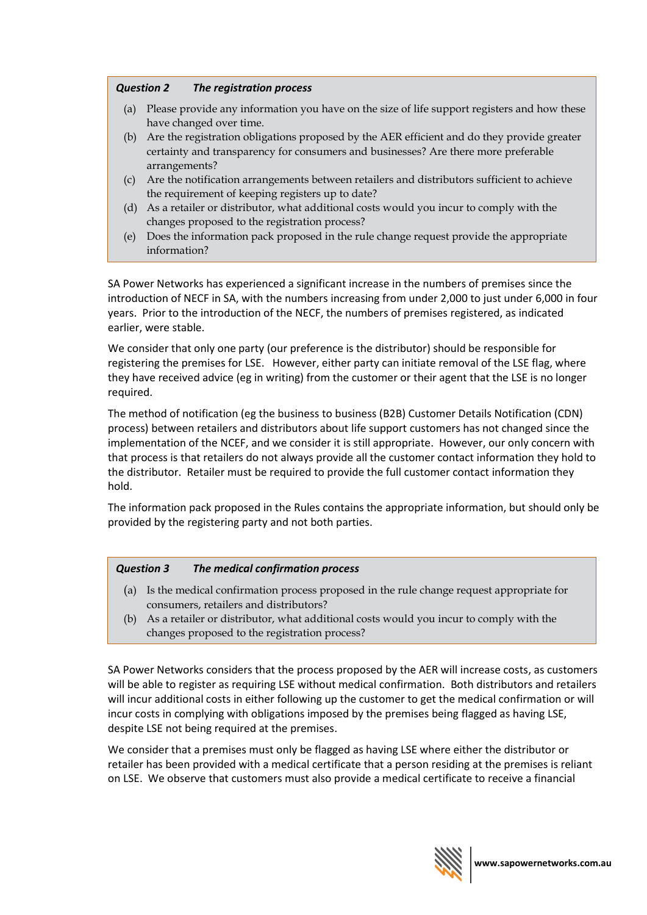## *Question 2 The registration process*

- (a) Please provide any information you have on the size of life support registers and how these have changed over time.
- (b) Are the registration obligations proposed by the AER efficient and do they provide greater certainty and transparency for consumers and businesses? Are there more preferable arrangements?
- (c) Are the notification arrangements between retailers and distributors sufficient to achieve the requirement of keeping registers up to date?
- (d) As a retailer or distributor, what additional costs would you incur to comply with the changes proposed to the registration process?
- (e) Does the information pack proposed in the rule change request provide the appropriate information?

SA Power Networks has experienced a significant increase in the numbers of premises since the introduction of NECF in SA, with the numbers increasing from under 2,000 to just under 6,000 in four years. Prior to the introduction of the NECF, the numbers of premises registered, as indicated earlier, were stable.

We consider that only one party (our preference is the distributor) should be responsible for registering the premises for LSE. However, either party can initiate removal of the LSE flag, where they have received advice (eg in writing) from the customer or their agent that the LSE is no longer required.

The method of notification (eg the business to business (B2B) Customer Details Notification (CDN) process) between retailers and distributors about life support customers has not changed since the implementation of the NCEF, and we consider it is still appropriate. However, our only concern with that process is that retailers do not always provide all the customer contact information they hold to the distributor. Retailer must be required to provide the full customer contact information they hold.

The information pack proposed in the Rules contains the appropriate information, but should only be provided by the registering party and not both parties.

### *Question 3 The medical confirmation process*

- (a) Is the medical confirmation process proposed in the rule change request appropriate for consumers, retailers and distributors?
- (b) As a retailer or distributor, what additional costs would you incur to comply with the changes proposed to the registration process?

SA Power Networks considers that the process proposed by the AER will increase costs, as customers will be able to register as requiring LSE without medical confirmation. Both distributors and retailers will incur additional costs in either following up the customer to get the medical confirmation or will incur costs in complying with obligations imposed by the premises being flagged as having LSE, despite LSE not being required at the premises.

We consider that a premises must only be flagged as having LSE where either the distributor or retailer has been provided with a medical certificate that a person residing at the premises is reliant on LSE. We observe that customers must also provide a medical certificate to receive a financial

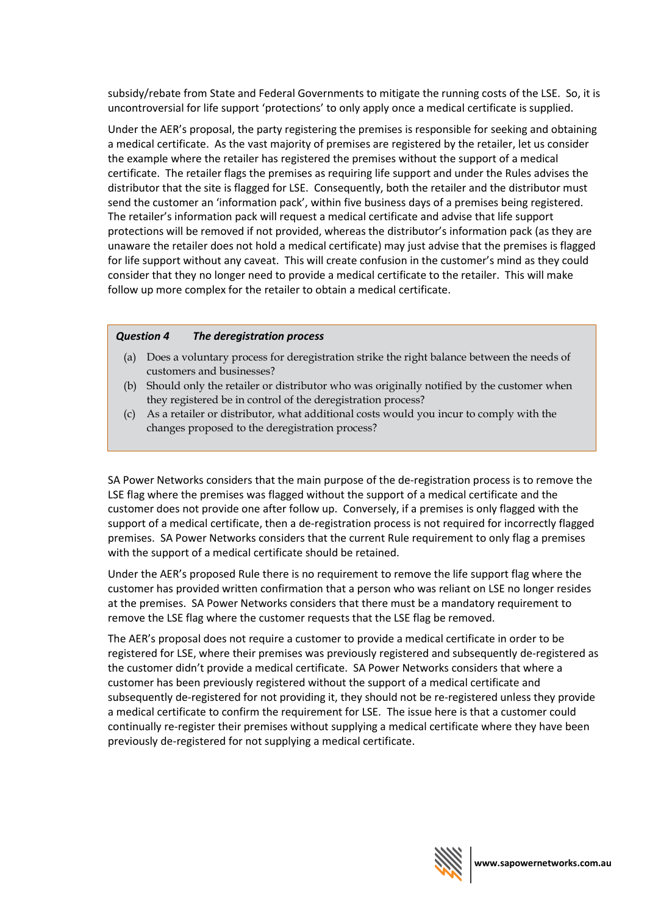subsidy/rebate from State and Federal Governments to mitigate the running costs of the LSE. So, it is uncontroversial for life support 'protections' to only apply once a medical certificate is supplied.

Under the AER's proposal, the party registering the premises is responsible for seeking and obtaining a medical certificate. As the vast majority of premises are registered by the retailer, let us consider the example where the retailer has registered the premises without the support of a medical certificate. The retailer flags the premises as requiring life support and under the Rules advises the distributor that the site is flagged for LSE. Consequently, both the retailer and the distributor must send the customer an 'information pack', within five business days of a premises being registered. The retailer's information pack will request a medical certificate and advise that life support protections will be removed if not provided, whereas the distributor's information pack (as they are unaware the retailer does not hold a medical certificate) may just advise that the premises is flagged for life support without any caveat. This will create confusion in the customer's mind as they could consider that they no longer need to provide a medical certificate to the retailer. This will make follow up more complex for the retailer to obtain a medical certificate.

#### *Question 4 The deregistration process*

- (a) Does a voluntary process for deregistration strike the right balance between the needs of customers and businesses?
- (b) Should only the retailer or distributor who was originally notified by the customer when they registered be in control of the deregistration process?
- (c) As a retailer or distributor, what additional costs would you incur to comply with the changes proposed to the deregistration process?

SA Power Networks considers that the main purpose of the de-registration process is to remove the LSE flag where the premises was flagged without the support of a medical certificate and the customer does not provide one after follow up. Conversely, if a premises is only flagged with the support of a medical certificate, then a de-registration process is not required for incorrectly flagged premises. SA Power Networks considers that the current Rule requirement to only flag a premises with the support of a medical certificate should be retained.

Under the AER's proposed Rule there is no requirement to remove the life support flag where the customer has provided written confirmation that a person who was reliant on LSE no longer resides at the premises. SA Power Networks considers that there must be a mandatory requirement to remove the LSE flag where the customer requests that the LSE flag be removed.

The AER's proposal does not require a customer to provide a medical certificate in order to be registered for LSE, where their premises was previously registered and subsequently de-registered as the customer didn't provide a medical certificate. SA Power Networks considers that where a customer has been previously registered without the support of a medical certificate and subsequently de-registered for not providing it, they should not be re-registered unless they provide a medical certificate to confirm the requirement for LSE. The issue here is that a customer could continually re-register their premises without supplying a medical certificate where they have been previously de-registered for not supplying a medical certificate.